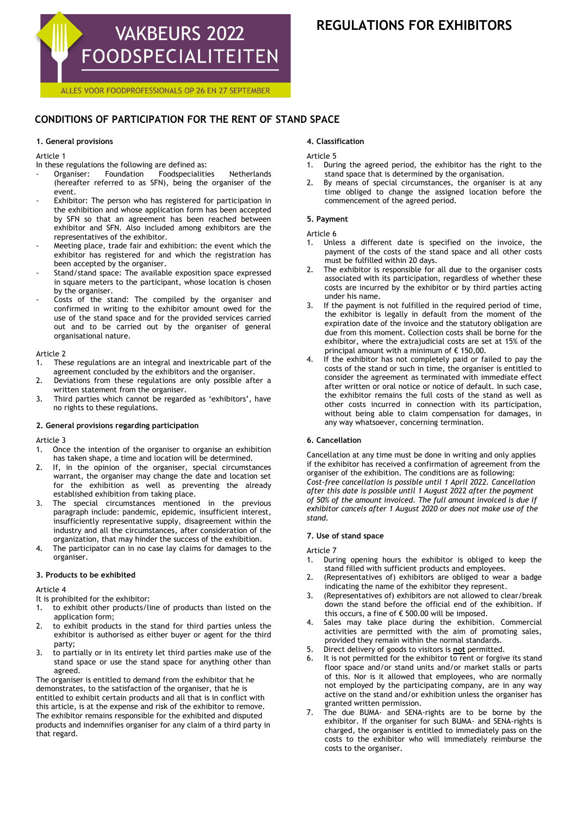

# **REGULATIONS FOR EXHIBITORS**

ALLES VOOR FOODPROFESSIONALS OP 26 EN 27 SEPTEMBER

# **CONDITIONS OF PARTICIPATION FOR THE RENT OF STAND SPACE**

# **1. General provisions**

Article 1

- In these regulations the following are defined as:<br>- Organiser: Foundation Foodspecialitie
- Foodspecialities Netherlands (hereafter referred to as SFN), being the organiser of the event.
- Exhibitor: The person who has registered for participation in the exhibition and whose application form has been accepted by SFN so that an agreement has been reached between exhibitor and SFN. Also included among exhibitors are the representatives of the exhibitor.
- Meeting place, trade fair and exhibition: the event which the exhibitor has registered for and which the registration has been accepted by the organiser.
- Stand/stand space: The available exposition space expressed in square meters to the participant, whose location is chosen by the organiser.
- Costs of the stand: The compiled by the organiser and confirmed in writing to the exhibitor amount owed for the use of the stand space and for the provided services carried out and to be carried out by the organiser of general organisational nature.

# Article 2

- 1. These regulations are an integral and inextricable part of the agreement concluded by the exhibitors and the organiser.
- 2. Deviations from these regulations are only possible after a written statement from the organiser.
- 3. Third parties which cannot be regarded as 'exhibitors', have no rights to these regulations.

# **2. General provisions regarding participation**

Article 3

- 1. Once the intention of the organiser to organise an exhibition has taken shape, a time and location will be determined.
- 2. If, in the opinion of the organiser, special circumstances warrant, the organiser may change the date and location set for the exhibition as well as preventing the already established exhibition from taking place.
- 3. The special circumstances mentioned in the previous paragraph include: pandemic, epidemic, insufficient interest, insufficiently representative supply, disagreement within the industry and all the circumstances, after consideration of the organization, that may hinder the success of the exhibition.
- 4. The participator can in no case lay claims for damages to the organiser.

#### **3. Products to be exhibited**

Article 4

- It is prohibited for the exhibitor:
- 1. to exhibit other products/line of products than listed on the application form;
- 2. to exhibit products in the stand for third parties unless the exhibitor is authorised as either buyer or agent for the third party;
- 3. to partially or in its entirety let third parties make use of the stand space or use the stand space for anything other than agreed.

The organiser is entitled to demand from the exhibitor that he demonstrates, to the satisfaction of the organiser, that he is entitled to exhibit certain products and all that is in conflict with this article, is at the expense and risk of the exhibitor to remove. The exhibitor remains responsible for the exhibited and disputed products and indemnifies organiser for any claim of a third party in that regard.

# **4. Classification**

Article 5

- 1. During the agreed period, the exhibitor has the right to the stand space that is determined by the organisation.
- By means of special circumstances, the organiser is at any time obliged to change the assigned location before the commencement of the agreed period.

# **5. Payment**

Article 6

- 1. Unless a different date is specified on the invoice, the payment of the costs of the stand space and all other costs must be fulfilled within 20 days.
- The exhibitor is responsible for all due to the organiser costs associated with its participation, regardless of whether these costs are incurred by the exhibitor or by third parties acting under his name.
- 3. If the payment is not fulfilled in the required period of time, the exhibitor is legally in default from the moment of the expiration date of the invoice and the statutory obligation are due from this moment. Collection costs shall be borne for the exhibitor, where the extrajudicial costs are set at 15% of the principal amount with a minimum of € 150,00.
- 4. If the exhibitor has not completely paid or failed to pay the costs of the stand or such in time, the organiser is entitled to consider the agreement as terminated with immediate effect after written or oral notice or notice of default. In such case, the exhibitor remains the full costs of the stand as well as other costs incurred in connection with its participation, without being able to claim compensation for damages, in any way whatsoever, concerning termination.

# **6. Cancellation**

Cancellation at any time must be done in writing and only applies if the exhibitor has received a confirmation of agreement from the organiser of the exhibition. The conditions are as following: *Cost-free cancellation is possible until 1 April 2022. Cancellation after this date is possible until 1 August 2022 after the payment of 50% of the amount invoiced. The full amount invoiced is due if exhibitor cancels after 1 August 2020 or does not make use of the stand.*

# **7. Use of stand space**

Article 7

- 1. During opening hours the exhibitor is obliged to keep the stand filled with sufficient products and employees.
- 2. (Representatives of) exhibitors are obliged to wear a badge indicating the name of the exhibitor they represent.
- 3. (Representatives of) exhibitors are not allowed to clear/break down the stand before the official end of the exhibition. If this occurs, a fine of  $\epsilon$  500.00 will be imposed.
- Sales may take place during the exhibition. Commercial activities are permitted with the aim of promoting sales, provided they remain within the normal standards.
- 5. Direct delivery of goods to visitors is **not** permitted.
- 6. It is not permitted for the exhibitor to rent or forgive its stand floor space and/or stand units and/or market stalls or parts of this. Nor is it allowed that employees, who are normally not employed by the participating company, are in any way active on the stand and/or exhibition unless the organiser has granted written permission.
- 7. The due BUMA- and SENA-rights are to be borne by the exhibitor. If the organiser for such BUMA- and SENA-rights is charged, the organiser is entitled to immediately pass on the costs to the exhibitor who will immediately reimburse the costs to the organiser.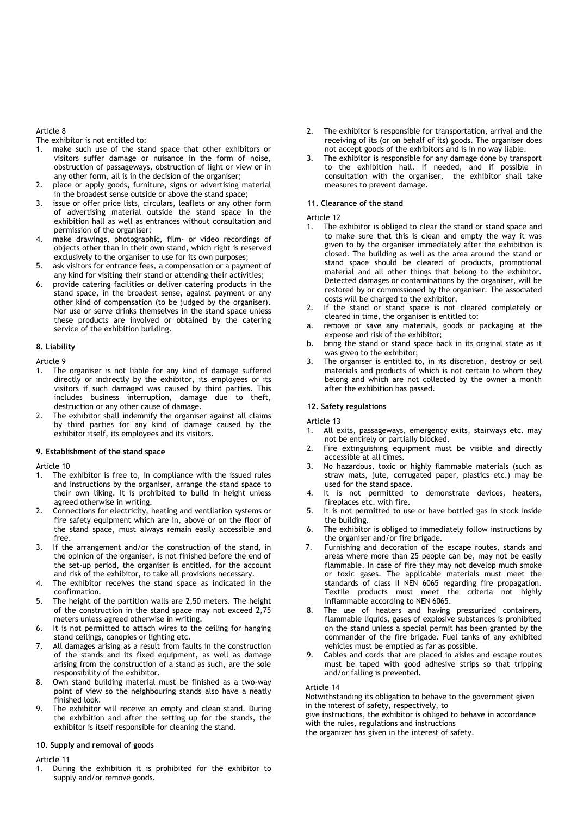Article 8

The exhibitor is not entitled to:

- 1. make such use of the stand space that other exhibitors or visitors suffer damage or nuisance in the form of noise, obstruction of passageways, obstruction of light or view or in any other form, all is in the decision of the organiser;
- 2. place or apply goods, furniture, signs or advertising material in the broadest sense outside or above the stand space;
- issue or offer price lists, circulars, leaflets or any other form of advertising material outside the stand space in the exhibition hall as well as entrances without consultation and permission of the organiser;
- 4. make drawings, photographic, film- or video recordings of objects other than in their own stand, which right is reserved exclusively to the organiser to use for its own purposes;
- 5. ask visitors for entrance fees, a compensation or a payment of any kind for visiting their stand or attending their activities;
- 6. provide catering facilities or deliver catering products in the stand space, in the broadest sense, against payment or any other kind of compensation (to be judged by the organiser). Nor use or serve drinks themselves in the stand space unless these products are involved or obtained by the catering service of the exhibition building.

#### **8. Liability**

Article 9

- 1. The organiser is not liable for any kind of damage suffered directly or indirectly by the exhibitor, its employees or its visitors if such damaged was caused by third parties. This includes business interruption, damage due to theft, destruction or any other cause of damage.
- The exhibitor shall indemnify the organiser against all claims by third parties for any kind of damage caused by the exhibitor itself, its employees and its visitors.

### **9. Establishment of the stand space**

Article 10

- 1. The exhibitor is free to, in compliance with the issued rules and instructions by the organiser, arrange the stand space to their own liking. It is prohibited to build in height unless agreed otherwise in writing.
- 2. Connections for electricity, heating and ventilation systems or fire safety equipment which are in, above or on the floor of the stand space, must always remain easily accessible and free.
- 3. If the arrangement and/or the construction of the stand, in the opinion of the organiser, is not finished before the end of the set-up period, the organiser is entitled, for the account and risk of the exhibitor, to take all provisions necessary.
- 4. The exhibitor receives the stand space as indicated in the confirmation.
- 5. The height of the partition walls are 2,50 meters. The height of the construction in the stand space may not exceed 2,75 meters unless agreed otherwise in writing.
- 6. It is not permitted to attach wires to the ceiling for hanging stand ceilings, canopies or lighting etc.
- All damages arising as a result from faults in the construction of the stands and its fixed equipment, as well as damage arising from the construction of a stand as such, are the sole responsibility of the exhibitor.
- 8. Own stand building material must be finished as a two-way point of view so the neighbouring stands also have a neatly finished look.
- The exhibitor will receive an empty and clean stand. During the exhibition and after the setting up for the stands, the exhibitor is itself responsible for cleaning the stand.

#### **10. Supply and removal of goods**

#### Article 11

During the exhibition it is prohibited for the exhibitor to supply and/or remove goods.

- 2. The exhibitor is responsible for transportation, arrival and the receiving of its (or on behalf of its) goods. The organiser does not accept goods of the exhibitors and is in no way liable.
- 3. The exhibitor is responsible for any damage done by transport to the exhibition hall. If needed, and if possible in consultation with the organiser, the exhibitor shall take measures to prevent damage.

#### **11. Clearance of the stand**

Article 12

- 1. The exhibitor is obliged to clear the stand or stand space and to make sure that this is clean and empty the way it was given to by the organiser immediately after the exhibition is closed. The building as well as the area around the stand or stand space should be cleared of products, promotional material and all other things that belong to the exhibitor. Detected damages or contaminations by the organiser, will be restored by or commissioned by the organiser. The associated costs will be charged to the exhibitor.
- 2. If the stand or stand space is not cleared completely or cleared in time, the organiser is entitled to:
- a. remove or save any materials, goods or packaging at the expense and risk of the exhibitor;
- b. bring the stand or stand space back in its original state as it was given to the exhibitor;
- The organiser is entitled to, in its discretion, destroy or sell materials and products of which is not certain to whom they belong and which are not collected by the owner a month after the exhibition has passed.

## **12. Safety regulations**

Article 13

- 1. All exits, passageways, emergency exits, stairways etc. may not be entirely or partially blocked.
- Fire extinguishing equipment must be visible and directly accessible at all times.
- 3. No hazardous, toxic or highly flammable materials (such as straw mats, jute, corrugated paper, plastics etc.) may be used for the stand space.
- 4. It is not permitted to demonstrate devices, heaters, fireplaces etc. with fire.
- 5. It is not permitted to use or have bottled gas in stock inside the building.
- 6. The exhibitor is obliged to immediately follow instructions by the organiser and/or fire brigade.
- 7. Furnishing and decoration of the escape routes, stands and areas where more than 25 people can be, may not be easily flammable. In case of fire they may not develop much smoke or toxic gases. The applicable materials must meet the standards of class II NEN 6065 regarding fire propagation. Textile products must meet the criteria not highly inflammable according to NEN 6065.
- 8. The use of heaters and having pressurized containers, flammable liquids, gases of explosive substances is prohibited on the stand unless a special permit has been granted by the commander of the fire brigade. Fuel tanks of any exhibited vehicles must be emptied as far as possible.
- Cables and cords that are placed in aisles and escape routes must be taped with good adhesive strips so that tripping and/or falling is prevented.

#### Article 14

Notwithstanding its obligation to behave to the government given in the interest of safety, respectively, to

give instructions, the exhibitor is obliged to behave in accordance with the rules, regulations and instructions

the organizer has given in the interest of safety.